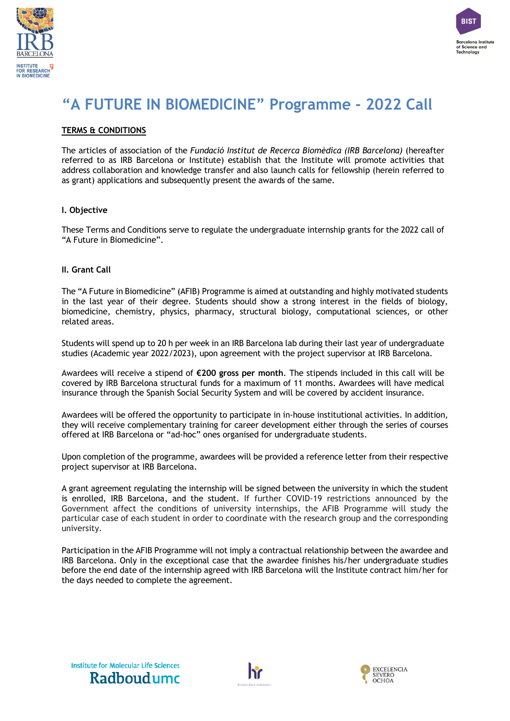



# **"A FUTURE IN BIOMEDICINE" Programme - 2022 Call**

#### **TERMS & CONDITIONS**

The articles of association of the *Fundació Institut de Recerca Biomèdica (IRB Barcelona)* (hereafter referred to as IRB Barcelona or Institute) establish that the Institute will promote activities that address collaboration and knowledge transfer and also launch calls for fellowship (herein referred to as grant) applications and subsequently present the awards of the same.

#### **I. Objective**

These Terms and Conditions serve to regulate the undergraduate internship grants for the 2022 call of "A Future in Biomedicine".

#### **II. Grant Call**

The "A Future in Biomedicine" (AFIB) Programme is aimed at outstanding and highly motivated students in the last year of their degree. Students should show a strong interest in the fields of biology, biomedicine, chemistry, physics, pharmacy, structural biology, computational sciences, or other related areas.

Students will spend up to 20 h per week in an IRB Barcelona lab during their last year of undergraduate studies (Academic year 2022/2023), upon agreement with the project supervisor at IRB Barcelona.

Awardees will receive a stipend of **€200 gross per month**. The stipends included in this call will be covered by IRB Barcelona structural funds for a maximum of 11 months. Awardees will have medical insurance through the Spanish Social Security System and will be covered by accident insurance.

Awardees will be offered the opportunity to participate in in-house institutional activities. In addition, they will receive complementary training for career development either through the series of courses offered at IRB Barcelona or "ad-hoc" ones organised for undergraduate students.

Upon completion of the programme, awardees will be provided a reference letter from their respective project supervisor at IRB Barcelona.

A grant agreement regulating the internship will be signed between the university in which the student is enrolled, IRB Barcelona, and the student. If further COVID-19 restrictions announced by the Government affect the conditions of university internships, the AFIB Programme will study the particular case of each student in order to coordinate with the research group and the corresponding university.

Participation in the AFIB Programme will not imply a contractual relationship between the awardee and IRB Barcelona. Only in the exceptional case that the awardee finishes his/her undergraduate studies before the end date of the internship agreed with IRB Barcelona will the Institute contract him/her for the days needed to complete the agreement.

**Institute for Molecular Life Sciences** Radboudumc



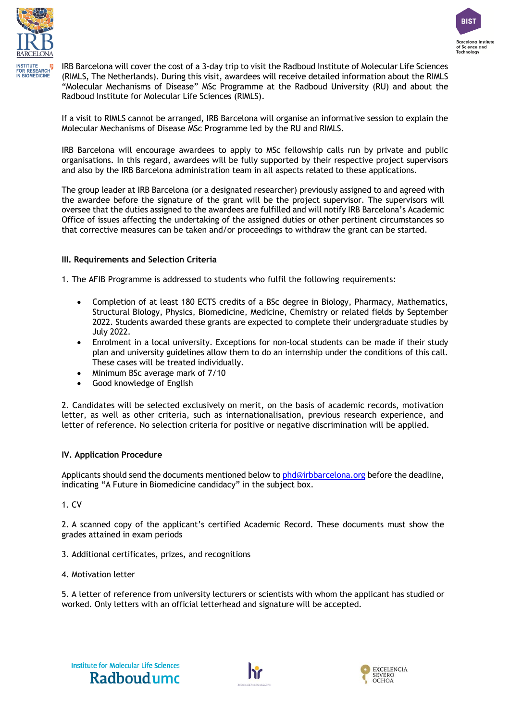



IRB Barcelona will cover the cost of a 3-day trip to visit the Radboud Institute of Molecular Life Sciences (RIMLS, The Netherlands). During this visit, awardees will receive detailed information about the RIMLS "Molecular Mechanisms of Disease" MSc Programme at the Radboud University (RU) and about the Radboud Institute for Molecular Life Sciences (RIMLS).

If a visit to RIMLS cannot be arranged, IRB Barcelona will organise an informative session to explain the Molecular Mechanisms of Disease MSc Programme led by the RU and RIMLS.

IRB Barcelona will encourage awardees to apply to MSc fellowship calls run by private and public organisations. In this regard, awardees will be fully supported by their respective project supervisors and also by the IRB Barcelona administration team in all aspects related to these applications.

The group leader at IRB Barcelona (or a designated researcher) previously assigned to and agreed with the awardee before the signature of the grant will be the project supervisor. The supervisors will oversee that the duties assigned to the awardees are fulfilled and will notify IRB Barcelona's Academic Office of issues affecting the undertaking of the assigned duties or other pertinent circumstances so that corrective measures can be taken and/or proceedings to withdraw the grant can be started.

#### **III. Requirements and Selection Criteria**

1. The AFIB Programme is addressed to students who fulfil the following requirements:

- Completion of at least 180 ECTS credits of a BSc degree in Biology, Pharmacy, Mathematics, Structural Biology, Physics, Biomedicine, Medicine, Chemistry or related fields by September 2022. Students awarded these grants are expected to complete their undergraduate studies by July 2022.
- Enrolment in a local university. Exceptions for non-local students can be made if their study plan and university guidelines allow them to do an internship under the conditions of this call. These cases will be treated individually.
- Minimum BSc average mark of 7/10
- Good knowledge of English

2. Candidates will be selected exclusively on merit, on the basis of academic records, motivation letter, as well as other criteria, such as internationalisation, previous research experience, and letter of reference. No selection criteria for positive or negative discrimination will be applied.

#### **IV. Application Procedure**

Applicants should send the documents mentioned below to [phd@irbbarcelona.org](mailto:phd@irbbarcelona.org) before the deadline, indicating "A Future in Biomedicine candidacy" in the subject box.

1. CV

2. A scanned copy of the applicant's certified Academic Record. These documents must show the grades attained in exam periods

3. Additional certificates, prizes, and recognitions

4. Motivation letter

5. A letter of reference from university lecturers or scientists with whom the applicant has studied or worked. Only letters with an official letterhead and signature will be accepted.





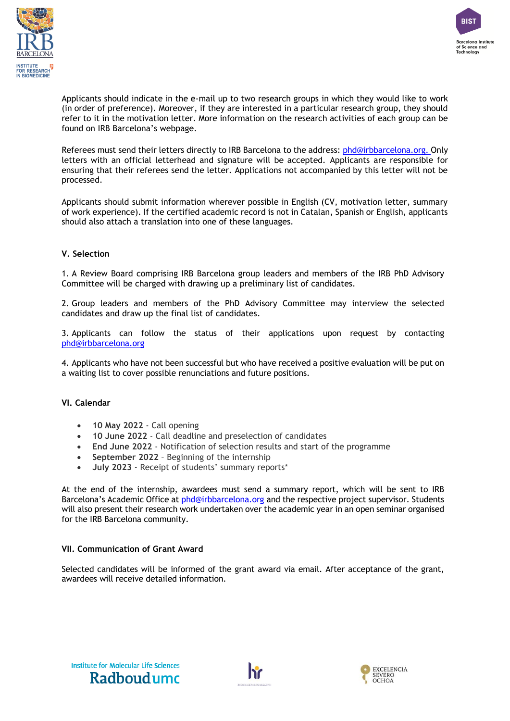



Applicants should indicate in the e-mail up to two research groups in which they would like to work (in order of preference). Moreover, if they are interested in a particular research group, they should refer to it in the motivation letter. More information on the research activities of each group can be found on IRB Barcelona's webpage.

Referees must send their letters directly to IRB Barcelona to the address: [phd@irbbarcelona.org.](mailto:phd@irbbarcelona.org) Only letters with an official letterhead and signature will be accepted. Applicants are responsible for ensuring that their referees send the letter. Applications not accompanied by this letter will not be processed.

Applicants should submit information wherever possible in English (CV, motivation letter, summary of work experience). If the certified academic record is not in Catalan, Spanish or English, applicants should also attach a translation into one of these languages.

#### **V. Selection**

1. A Review Board comprising IRB Barcelona group leaders and members of the IRB PhD Advisory Committee will be charged with drawing up a preliminary list of candidates.

2. Group leaders and members of the PhD Advisory Committee may interview the selected candidates and draw up the final list of candidates.

3. Applicants can follow the status of their applications upon request by contacting [phd@irbbarcelona.org](mailto:phd@irbbarcelona.org)

4. Applicants who have not been successful but who have received a positive evaluation will be put on a waiting list to cover possible renunciations and future positions.

#### **VI. Calendar**

- **10 May 2022** Call opening
- **10 June 2022** Call deadline and preselection of candidates
- **End June 2022** Notification of selection results and start of the programme
- **September 2022** Beginning of the internship
- **July 2023** Receipt of students' summary reports\*

At the end of the internship, awardees must send a summary report, which will be sent to IRB Barcelona's Academic Office at [phd@irbbarcelona.org](mailto:phd@irbbarcelona.org) and the respective project supervisor. Students will also present their research work undertaken over the academic year in an open seminar organised for the IRB Barcelona community.

#### **VII. Communication of Grant Award**

Selected candidates will be informed of the grant award via email. After acceptance of the grant, awardees will receive detailed information.

**Institute for Molecular Life Sciences** Radboudumc



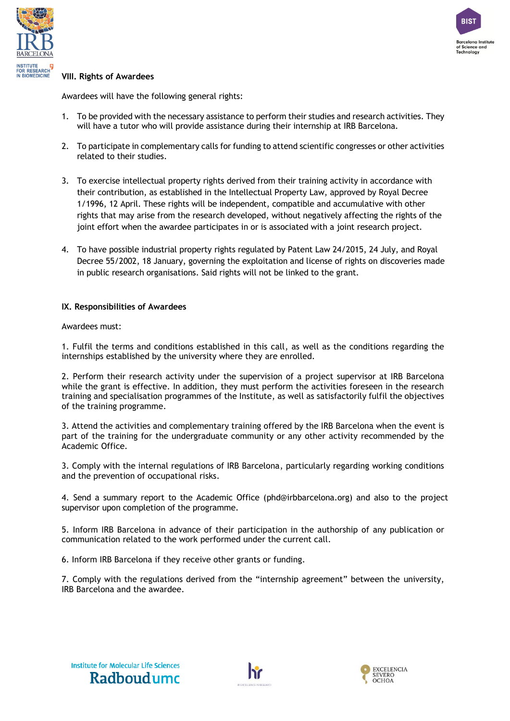



#### **VIII. Rights of Awardees**

Awardees will have the following general rights:

- 1. To be provided with the necessary assistance to perform their studies and research activities. They will have a tutor who will provide assistance during their internship at IRB Barcelona.
- 2. To participate in complementary calls for funding to attend scientific congresses or other activities related to their studies.
- 3. To exercise intellectual property rights derived from their training activity in accordance with their contribution, as established in the Intellectual Property Law, approved by Royal Decree 1/1996, 12 April. These rights will be independent, compatible and accumulative with other rights that may arise from the research developed, without negatively affecting the rights of the joint effort when the awardee participates in or is associated with a joint research project.
- 4. To have possible industrial property rights regulated by Patent Law 24/2015, 24 July, and Royal Decree 55/2002, 18 January, governing the exploitation and license of rights on discoveries made in public research organisations. Said rights will not be linked to the grant.

### **IX. Responsibilities of Awardees**

Awardees must:

1. Fulfil the terms and conditions established in this call, as well as the conditions regarding the internships established by the university where they are enrolled.

2. Perform their research activity under the supervision of a project supervisor at IRB Barcelona while the grant is effective. In addition, they must perform the activities foreseen in the research training and specialisation programmes of the Institute, as well as satisfactorily fulfil the objectives of the training programme.

3. Attend the activities and complementary training offered by the IRB Barcelona when the event is part of the training for the undergraduate community or any other activity recommended by the Academic Office.

3. Comply with the internal regulations of IRB Barcelona, particularly regarding working conditions and the prevention of occupational risks.

4. Send a summary report to the Academic Office [\(phd@irbbarcelona.org\)](mailto:phd@irbbarcelona.org) and also to the project supervisor upon completion of the programme.

5. Inform IRB Barcelona in advance of their participation in the authorship of any publication or communication related to the work performed under the current call.

6. Inform IRB Barcelona if they receive other grants or funding.

7. Comply with the regulations derived from the "internship agreement" between the university, IRB Barcelona and the awardee.





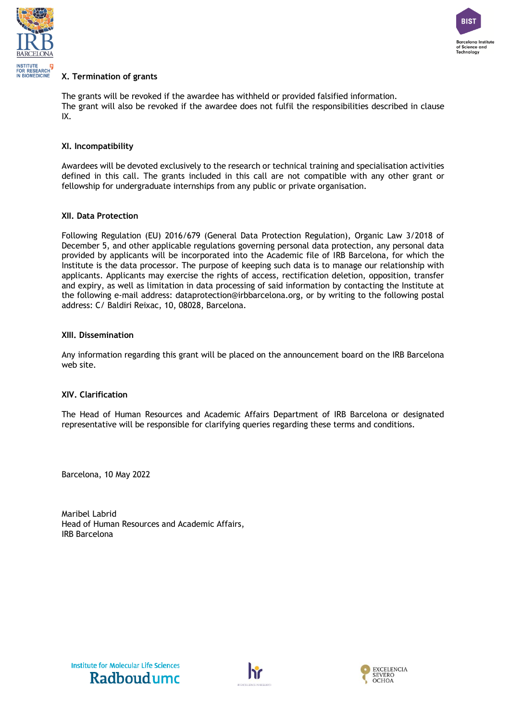



#### **X. Termination of grants**

The grants will be revoked if the awardee has withheld or provided falsified information. The grant will also be revoked if the awardee does not fulfil the responsibilities described in clause IX.

#### **XI. Incompatibility**

Awardees will be devoted exclusively to the research or technical training and specialisation activities defined in this call. The grants included in this call are not compatible with any other grant or fellowship for undergraduate internships from any public or private organisation.

#### **XII. Data Protection**

Following Regulation (EU) 2016/679 (General Data Protection Regulation), Organic Law 3/2018 of December 5, and other applicable regulations governing personal data protection, any personal data provided by applicants will be incorporated into the Academic file of IRB Barcelona, for which the Institute is the data processor. The purpose of keeping such data is to manage our relationship with applicants. Applicants may exercise the rights of access, rectification deletion, opposition, transfer and expiry, as well as limitation in data processing of said information by contacting the Institute at the following e-mail address: dataprotection@irbbarcelona.org, or by writing to the following postal address: C/ Baldiri Reixac, 10, 08028, Barcelona.

#### **XIII. Dissemination**

Any information regarding this grant will be placed on the announcement board on the IRB Barcelona web site.

#### **XIV. Clarification**

The Head of Human Resources and Academic Affairs Department of IRB Barcelona or designated representative will be responsible for clarifying queries regarding these terms and conditions.

Barcelona, 10 May 2022

Maribel Labrid Head of Human Resources and Academic Affairs, IRB Barcelona